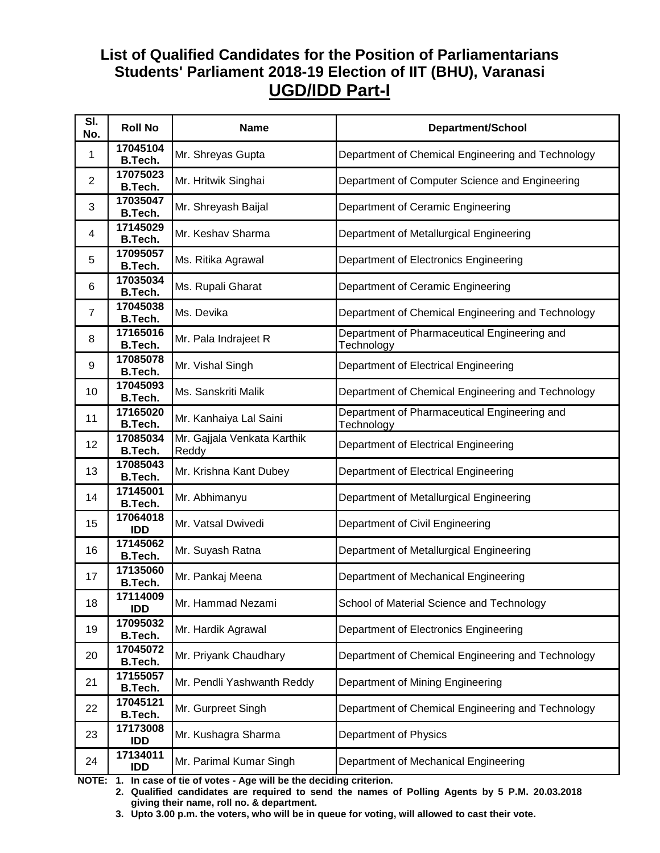## **List of Qualified Candidates for the Position of Parliamentarians Students' Parliament 2018-19 Election of IIT (BHU), Varanasi UGD/IDD Part-I**

| SI.<br>No.     | <b>Roll No</b>             | <b>Name</b>                          | <b>Department/School</b>                                   |
|----------------|----------------------------|--------------------------------------|------------------------------------------------------------|
| 1              | 17045104<br>B.Tech.        | Mr. Shreyas Gupta                    | Department of Chemical Engineering and Technology          |
| $\overline{2}$ | 17075023<br><b>B.Tech.</b> | Mr. Hritwik Singhai                  | Department of Computer Science and Engineering             |
| 3              | 17035047<br><b>B.Tech.</b> | Mr. Shreyash Baijal                  | Department of Ceramic Engineering                          |
| 4              | 17145029<br>B.Tech.        | Mr. Keshav Sharma                    | Department of Metallurgical Engineering                    |
| 5              | 17095057<br><b>B.Tech.</b> | Ms. Ritika Agrawal                   | Department of Electronics Engineering                      |
| 6              | 17035034<br><b>B.Tech.</b> | Ms. Rupali Gharat                    | Department of Ceramic Engineering                          |
| $\overline{7}$ | 17045038<br><b>B.Tech.</b> | Ms. Devika                           | Department of Chemical Engineering and Technology          |
| 8              | 17165016<br><b>B.Tech.</b> | Mr. Pala Indrajeet R                 | Department of Pharmaceutical Engineering and<br>Technology |
| 9              | 17085078<br><b>B.Tech.</b> | Mr. Vishal Singh                     | Department of Electrical Engineering                       |
| 10             | 17045093<br><b>B.Tech.</b> | Ms. Sanskriti Malik                  | Department of Chemical Engineering and Technology          |
| 11             | 17165020<br><b>B.Tech.</b> | Mr. Kanhaiya Lal Saini               | Department of Pharmaceutical Engineering and<br>Technology |
| 12             | 17085034<br><b>B.Tech.</b> | Mr. Gajjala Venkata Karthik<br>Reddy | Department of Electrical Engineering                       |
| 13             | 17085043<br>B.Tech.        | Mr. Krishna Kant Dubey               | Department of Electrical Engineering                       |
| 14             | 17145001<br><b>B.Tech.</b> | Mr. Abhimanyu                        | Department of Metallurgical Engineering                    |
| 15             | 17064018<br><b>IDD</b>     | Mr. Vatsal Dwivedi                   | Department of Civil Engineering                            |
| 16             | 17145062<br><b>B.Tech.</b> | Mr. Suyash Ratna                     | Department of Metallurgical Engineering                    |
| 17             | 17135060<br><b>B.Tech.</b> | Mr. Pankaj Meena                     | Department of Mechanical Engineering                       |
| 18             | 17114009<br><b>IDD</b>     | Mr. Hammad Nezami                    | School of Material Science and Technology                  |
| 19             | 17095032<br><b>B.Tech.</b> | Mr. Hardik Agrawal                   | Department of Electronics Engineering                      |
| 20             | 17045072<br>B.Tech.        | Mr. Priyank Chaudhary                | Department of Chemical Engineering and Technology          |
| 21             | 17155057<br><b>B.Tech.</b> | Mr. Pendli Yashwanth Reddy           | Department of Mining Engineering                           |
| 22             | 17045121<br><b>B.Tech.</b> | Mr. Gurpreet Singh                   | Department of Chemical Engineering and Technology          |
| 23             | 17173008<br><b>IDD</b>     | Mr. Kushagra Sharma                  | Department of Physics                                      |
| 24             | 17134011<br>IDD            | Mr. Parimal Kumar Singh              | Department of Mechanical Engineering                       |

**NOTE: 1. In case of tie of votes - Age will be the deciding criterion.** 

 **2. Qualified candidates are required to send the names of Polling Agents by 5 P.M. 20.03.2018 giving their name, roll no. & department.** 

 **3. Upto 3.00 p.m. the voters, who will be in queue for voting, will allowed to cast their vote.**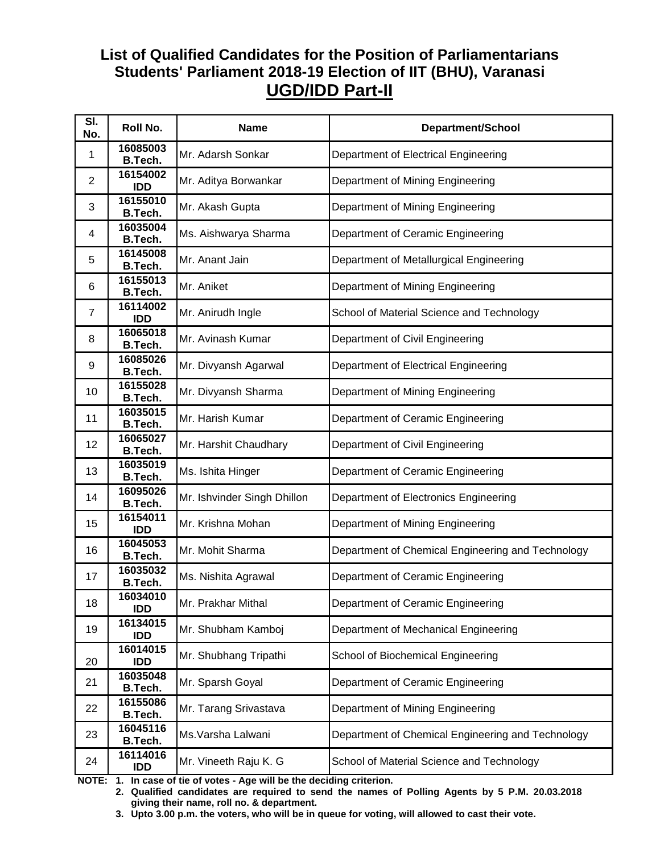## **List of Qualified Candidates for the Position of Parliamentarians Students' Parliament 2018-19 Election of IIT (BHU), Varanasi UGD/IDD Part-II**

| SI.<br>No.     | Roll No.                   | <b>Name</b>                 | <b>Department/School</b>                          |
|----------------|----------------------------|-----------------------------|---------------------------------------------------|
| 1              | 16085003<br>B.Tech.        | Mr. Adarsh Sonkar           | Department of Electrical Engineering              |
| 2              | 16154002<br><b>IDD</b>     | Mr. Aditya Borwankar        | Department of Mining Engineering                  |
| 3              | 16155010<br><b>B.Tech.</b> | Mr. Akash Gupta             | Department of Mining Engineering                  |
| 4              | 16035004<br><b>B.Tech.</b> | Ms. Aishwarya Sharma        | Department of Ceramic Engineering                 |
| 5              | 16145008<br><b>B.Tech.</b> | Mr. Anant Jain              | Department of Metallurgical Engineering           |
| 6              | 16155013<br><b>B.Tech.</b> | Mr. Aniket                  | Department of Mining Engineering                  |
| $\overline{7}$ | 16114002<br><b>IDD</b>     | Mr. Anirudh Ingle           | School of Material Science and Technology         |
| 8              | 16065018<br>B.Tech.        | Mr. Avinash Kumar           | Department of Civil Engineering                   |
| 9              | 16085026<br><b>B.Tech.</b> | Mr. Divyansh Agarwal        | Department of Electrical Engineering              |
| 10             | 16155028<br><b>B.Tech.</b> | Mr. Divyansh Sharma         | Department of Mining Engineering                  |
| 11             | 16035015<br><b>B.Tech.</b> | Mr. Harish Kumar            | Department of Ceramic Engineering                 |
| 12             | 16065027<br><b>B.Tech.</b> | Mr. Harshit Chaudhary       | Department of Civil Engineering                   |
| 13             | 16035019<br><b>B.Tech.</b> | Ms. Ishita Hinger           | Department of Ceramic Engineering                 |
| 14             | 16095026<br>B.Tech.        | Mr. Ishvinder Singh Dhillon | Department of Electronics Engineering             |
| 15             | 16154011<br><b>IDD</b>     | Mr. Krishna Mohan           | Department of Mining Engineering                  |
| 16             | 16045053<br>B.Tech.        | Mr. Mohit Sharma            | Department of Chemical Engineering and Technology |
| 17             | 16035032<br><b>B.Tech.</b> | Ms. Nishita Agrawal         | Department of Ceramic Engineering                 |
| 18             | 16034010<br><b>IDD</b>     | Mr. Prakhar Mithal          | Department of Ceramic Engineering                 |
| 19             | 16134015<br><b>IDD</b>     | Mr. Shubham Kamboj          | Department of Mechanical Engineering              |
| 20             | 16014015<br><b>IDD</b>     | Mr. Shubhang Tripathi       | School of Biochemical Engineering                 |
| 21             | 16035048<br>B.Tech.        | Mr. Sparsh Goyal            | Department of Ceramic Engineering                 |
| 22             | 16155086<br>B.Tech.        | Mr. Tarang Srivastava       | Department of Mining Engineering                  |
| 23             | 16045116<br>B.Tech.        | Ms. Varsha Lalwani          | Department of Chemical Engineering and Technology |
| 24             | 16114016<br><b>IDD</b>     | Mr. Vineeth Raju K. G       | School of Material Science and Technology         |

**NOTE: 1. In case of tie of votes - Age will be the deciding criterion.** 

 **2. Qualified candidates are required to send the names of Polling Agents by 5 P.M. 20.03.2018 giving their name, roll no. & department.** 

 **3. Upto 3.00 p.m. the voters, who will be in queue for voting, will allowed to cast their vote.**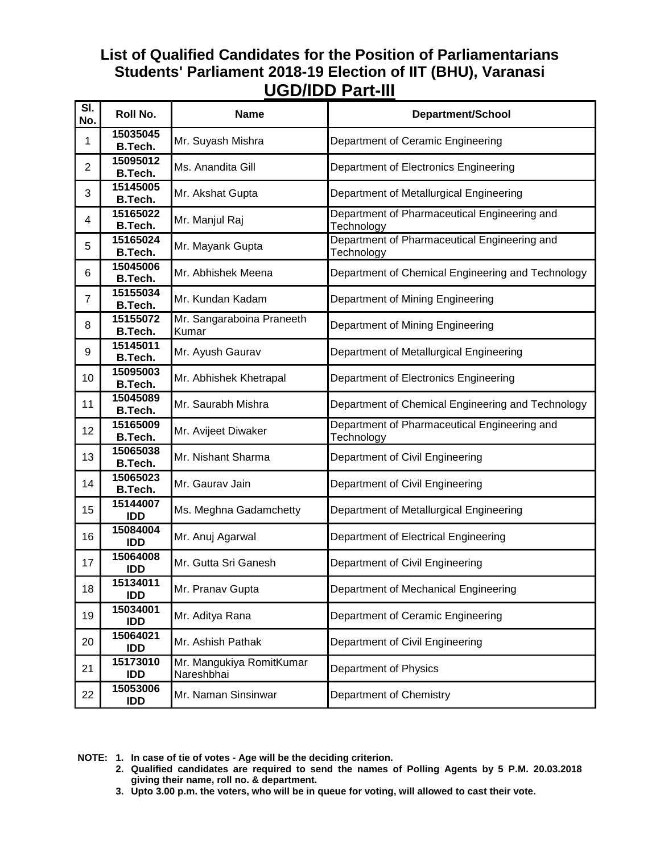#### **List of Qualified Candidates for the Position of Parliamentarians Students' Parliament 2018-19 Election of IIT (BHU), Varanasi UGD/IDD Part-III**

| SI.<br>No.     | Roll No.                   | <b>Name</b>                            | <b>Department/School</b>                                   |
|----------------|----------------------------|----------------------------------------|------------------------------------------------------------|
| 1              | 15035045<br>B.Tech.        | Mr. Suyash Mishra                      | Department of Ceramic Engineering                          |
| $\overline{2}$ | 15095012<br>B.Tech.        | Ms. Anandita Gill                      | Department of Electronics Engineering                      |
| 3              | 15145005<br>B.Tech.        | Mr. Akshat Gupta                       | Department of Metallurgical Engineering                    |
| 4              | 15165022<br>B.Tech.        | Mr. Manjul Raj                         | Department of Pharmaceutical Engineering and<br>Technology |
| 5              | 15165024<br>B.Tech.        | Mr. Mayank Gupta                       | Department of Pharmaceutical Engineering and<br>Technology |
| 6              | 15045006<br>B.Tech.        | Mr. Abhishek Meena                     | Department of Chemical Engineering and Technology          |
| $\overline{7}$ | 15155034<br>B.Tech.        | Mr. Kundan Kadam                       | Department of Mining Engineering                           |
| 8              | 15155072<br><b>B.Tech.</b> | Mr. Sangaraboina Praneeth<br>Kumar     | Department of Mining Engineering                           |
| 9              | 15145011<br>B.Tech.        | Mr. Ayush Gaurav                       | Department of Metallurgical Engineering                    |
| 10             | 15095003<br><b>B.Tech.</b> | Mr. Abhishek Khetrapal                 | Department of Electronics Engineering                      |
| 11             | 15045089<br><b>B.Tech.</b> | Mr. Saurabh Mishra                     | Department of Chemical Engineering and Technology          |
| 12             | 15165009<br><b>B.Tech.</b> | Mr. Avijeet Diwaker                    | Department of Pharmaceutical Engineering and<br>Technology |
| 13             | 15065038<br>B.Tech.        | Mr. Nishant Sharma                     | Department of Civil Engineering                            |
| 14             | 15065023<br>B.Tech.        | Mr. Gaurav Jain                        | Department of Civil Engineering                            |
| 15             | 15144007<br><b>IDD</b>     | Ms. Meghna Gadamchetty                 | Department of Metallurgical Engineering                    |
| 16             | 15084004<br><b>IDD</b>     | Mr. Anuj Agarwal                       | Department of Electrical Engineering                       |
| 17             | 15064008<br><b>IDD</b>     | Mr. Gutta Sri Ganesh                   | Department of Civil Engineering                            |
| 18             | 15134011<br><b>IDD</b>     | Mr. Pranav Gupta                       | Department of Mechanical Engineering                       |
| 19             | 15034001<br>IDD            | Mr. Aditya Rana                        | Department of Ceramic Engineering                          |
| 20             | 15064021<br>IDD            | Mr. Ashish Pathak                      | Department of Civil Engineering                            |
| 21             | 15173010<br><b>IDD</b>     | Mr. Mangukiya RomitKumar<br>Nareshbhai | Department of Physics                                      |
| 22             | 15053006<br><b>IDD</b>     | Mr. Naman Sinsinwar                    | Department of Chemistry                                    |

- **2. Qualified candidates are required to send the names of Polling Agents by 5 P.M. 20.03.2018 giving their name, roll no. & department.**
- **3. Upto 3.00 p.m. the voters, who will be in queue for voting, will allowed to cast their vote.**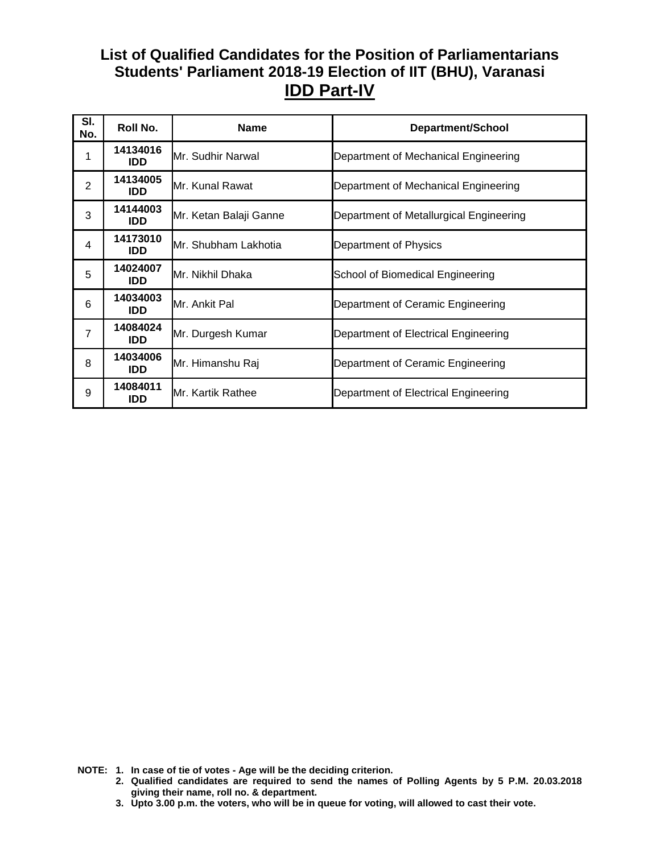## **List of Qualified Candidates for the Position of Parliamentarians Students' Parliament 2018-19 Election of IIT (BHU), Varanasi IDD Part-IV**

| SI.<br>No.     | Roll No.               | <b>Name</b>            | <b>Department/School</b>                |
|----------------|------------------------|------------------------|-----------------------------------------|
|                | 14134016<br>IDD.       | Mr. Sudhir Narwal      | Department of Mechanical Engineering    |
| $\overline{2}$ | 14134005<br>IDD        | Mr. Kunal Rawat        | Department of Mechanical Engineering    |
| 3              | 14144003<br><b>IDD</b> | Mr. Ketan Balaji Ganne | Department of Metallurgical Engineering |
| 4              | 14173010<br>IDD        | Mr. Shubham Lakhotia   | Department of Physics                   |
| 5              | 14024007<br>IDD.       | Mr. Nikhil Dhaka       | School of Biomedical Engineering        |
| 6              | 14034003<br>IDD.       | Mr. Ankit Pal          | Department of Ceramic Engineering       |
| $\overline{7}$ | 14084024<br>IDD.       | Mr. Durgesh Kumar      | Department of Electrical Engineering    |
| 8              | 14034006<br><b>IDD</b> | Mr. Himanshu Raj       | Department of Ceramic Engineering       |
| 9              | 14084011<br>IDD        | Mr. Kartik Rathee      | Department of Electrical Engineering    |

- **2. Qualified candidates are required to send the names of Polling Agents by 5 P.M. 20.03.2018 giving their name, roll no. & department.**
- **3. Upto 3.00 p.m. the voters, who will be in queue for voting, will allowed to cast their vote.**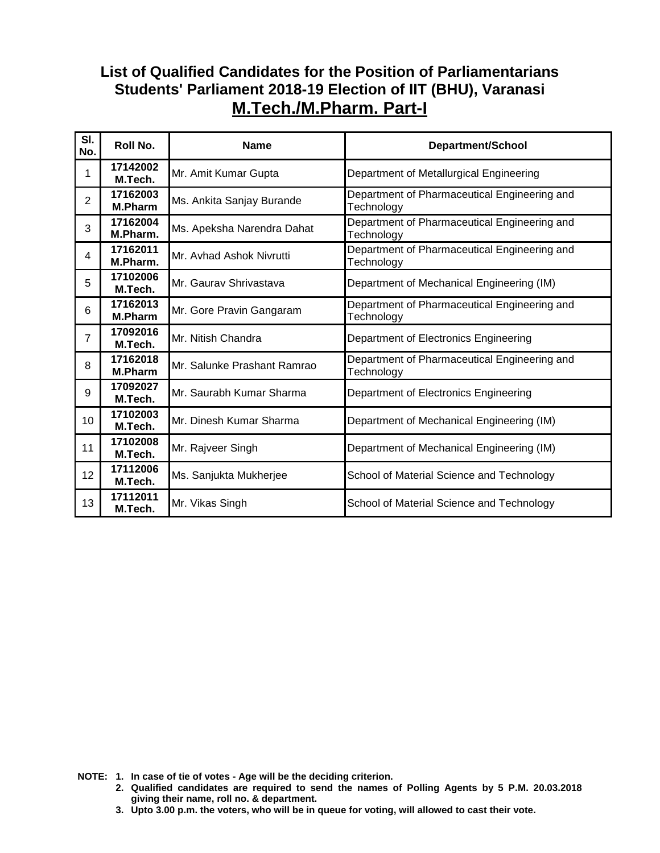#### **List of Qualified Candidates for the Position of Parliamentarians Students' Parliament 2018-19 Election of IIT (BHU), Varanasi M.Tech./M.Pharm. Part-I**

| SI.<br>No. | Roll No.                   | <b>Name</b>                 | <b>Department/School</b>                                   |
|------------|----------------------------|-----------------------------|------------------------------------------------------------|
| 1          | 17142002<br>M.Tech.        | Mr. Amit Kumar Gupta        | Department of Metallurgical Engineering                    |
| 2          | 17162003<br><b>M.Pharm</b> | Ms. Ankita Sanjay Burande   | Department of Pharmaceutical Engineering and<br>Technology |
| 3          | 17162004<br>M.Pharm.       | Ms. Apeksha Narendra Dahat  | Department of Pharmaceutical Engineering and<br>Technology |
| 4          | 17162011<br>M.Pharm.       | Mr. Avhad Ashok Nivrutti    | Department of Pharmaceutical Engineering and<br>Technology |
| 5          | 17102006<br>M.Tech.        | Mr. Gauray Shrivastava      | Department of Mechanical Engineering (IM)                  |
| 6          | 17162013<br>M.Pharm        | Mr. Gore Pravin Gangaram    | Department of Pharmaceutical Engineering and<br>Technology |
| 7          | 17092016<br>M.Tech.        | Mr. Nitish Chandra          | Department of Electronics Engineering                      |
| 8          | 17162018<br><b>M.Pharm</b> | Mr. Salunke Prashant Ramrao | Department of Pharmaceutical Engineering and<br>Technology |
| 9          | 17092027<br>M.Tech.        | Mr. Saurabh Kumar Sharma    | Department of Electronics Engineering                      |
| 10         | 17102003<br>M.Tech.        | Mr. Dinesh Kumar Sharma     | Department of Mechanical Engineering (IM)                  |
| 11         | 17102008<br>M.Tech.        | Mr. Rajveer Singh           | Department of Mechanical Engineering (IM)                  |
| 12         | 17112006<br>M.Tech.        | Ms. Sanjukta Mukherjee      | School of Material Science and Technology                  |
| 13         | 17112011<br>M.Tech.        | Mr. Vikas Singh             | School of Material Science and Technology                  |

- **2. Qualified candidates are required to send the names of Polling Agents by 5 P.M. 20.03.2018 giving their name, roll no. & department.**
- **3. Upto 3.00 p.m. the voters, who will be in queue for voting, will allowed to cast their vote.**